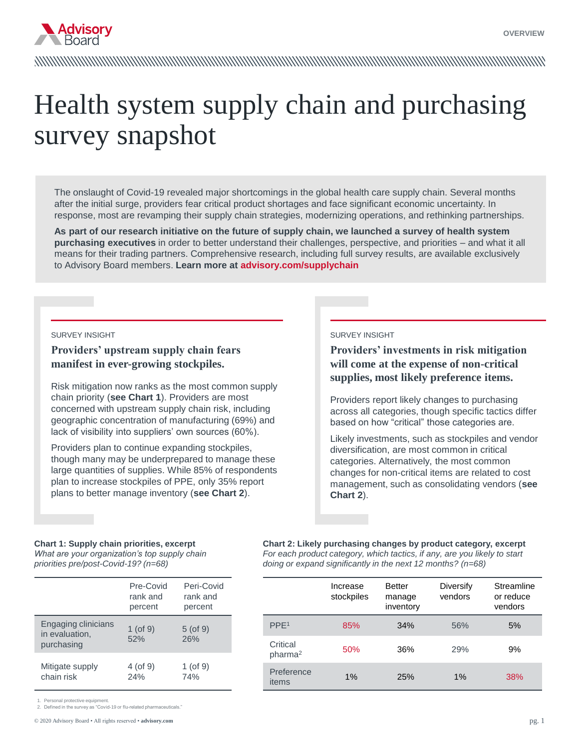

# Health system supply chain and purchasing survey snapshot

The onslaught of Covid-19 revealed major shortcomings in the global health care supply chain. Several months after the initial surge, providers fear critical product shortages and face significant economic uncertainty. In response, most are revamping their supply chain strategies, modernizing operations, and rethinking partnerships.

**As part of our research initiative on the future of supply chain, we launched a survey of health system purchasing executives** in order to better understand their challenges, perspective, and priorities – and what it all means for their trading partners. Comprehensive research, including full survey results, are available exclusively to Advisory Board members. **Learn more at advisory.com/supplychain**

#### SURVEY INSIGHT

#### **Providers' upstream supply chain fears manifest in ever-growing stockpiles.**

Risk mitigation now ranks as the most common supply chain priority (**see Chart 1**). Providers are most concerned with upstream supply chain risk, including geographic concentration of manufacturing (69%) and lack of visibility into suppliers' own sources (60%).

Providers plan to continue expanding stockpiles, though many may be underprepared to manage these large quantities of supplies. While 85% of respondents plan to increase stockpiles of PPE, only 35% report plans to better manage inventory (**see Chart 2**).

#### SURVEY INSIGHT

## **Providers' investments in risk mitigation will come at the expense of non-critical supplies, most likely preference items.**

Providers report likely changes to purchasing across all categories, though specific tactics differ based on how "critical" those categories are.

Likely investments, such as stockpiles and vendor diversification, are most common in critical categories. Alternatively, the most common changes for non-critical items are related to cost management, such as consolidating vendors (**see Chart 2**).

#### **Chart 1: Supply chain priorities, excerpt**  *What are your organization's top supply chain priorities pre/post-Covid-19? (n=68)*

|                                                     | Pre-Covid<br>rank and<br>percent | Peri-Covid<br>rank and<br>percent |
|-----------------------------------------------------|----------------------------------|-----------------------------------|
| Engaging clinicians<br>in evaluation,<br>purchasing | 1 (of $9$ )<br>52%               | $5($ of $9)$<br>26%               |
| Mitigate supply<br>chain risk                       | $4$ (of 9)<br>24%                | $1$ (of 9)<br>74%                 |

**Chart 2: Likely purchasing changes by product category, excerpt**  *For each product category, which tactics, if any, are you likely to start doing or expand significantly in the next 12 months? (n=68)*

|                                 | Increase<br>stockpiles | <b>Better</b><br>manage<br>inventory | Diversify<br>vendors | Streamline<br>or reduce<br>vendors |
|---------------------------------|------------------------|--------------------------------------|----------------------|------------------------------------|
| PPE <sup>1</sup>                | 85%                    | 34%                                  | 56%                  | 5%                                 |
| Critical<br>pharma <sup>2</sup> | 50%                    | 36%                                  | 29%                  | 9%                                 |
| Preference<br>items             | 1%                     | 25%                                  | $1\%$                | 38%                                |

Personal protective equipment

2. Defined in the survey as "Covid-19 or flu-related pharmaceuticals."